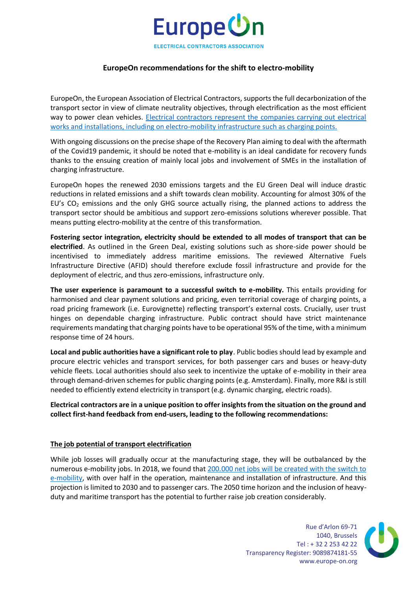

# **EuropeOn recommendations for the shift to electro-mobility**

EuropeOn, the European Association of Electrical Contractors, supports the full decarbonization of the transport sector in view of climate neutrality objectives, through electrification as the most efficient way to power clean vehicles. [Electrical contractors represent the companies carrying out electrical](https://europe-on.org/wp-content/uploads/2019/12/EuropeOn-sector-report-3_compressed-2.pdf)  [works and installations, including on electro-mobility infrastructure such as charging points.](https://europe-on.org/wp-content/uploads/2019/12/EuropeOn-sector-report-3_compressed-2.pdf)

With ongoing discussions on the precise shape of the Recovery Plan aiming to deal with the aftermath of the Covid19 pandemic, it should be noted that e-mobility is an ideal candidate for recovery funds thanks to the ensuing creation of mainly local jobs and involvement of SMEs in the installation of charging infrastructure.

EuropeOn hopes the renewed 2030 emissions targets and the EU Green Deal will induce drastic reductions in related emissions and a shift towards clean mobility. Accounting for almost 30% of the EU's  $CO<sub>2</sub>$  emissions and the only GHG source actually rising, the planned actions to address the transport sector should be ambitious and support zero-emissions solutions wherever possible. That means putting electro-mobility at the centre of this transformation.

**Fostering sector integration, electricity should be extended to all modes of transport that can be electrified**. As outlined in the Green Deal, existing solutions such as shore-side power should be incentivised to immediately address maritime emissions. The reviewed Alternative Fuels Infrastructure Directive (AFID) should therefore exclude fossil infrastructure and provide for the deployment of electric, and thus zero-emissions, infrastructure only.

**The user experience is paramount to a successful switch to e-mobility.** This entails providing for harmonised and clear payment solutions and pricing, even territorial coverage of charging points, a road pricing framework (i.e. Eurovignette) reflecting transport's external costs. Crucially, user trust hinges on dependable charging infrastructure. Public contract should have strict maintenance requirements mandating that charging points have to be operational 95% of the time, with a minimum response time of 24 hours.

**Local and public authorities have a significant role to play**. Public bodies should lead by example and procure electric vehicles and transport services, for both passenger cars and buses or heavy-duty vehicle fleets. Local authorities should also seek to incentivize the uptake of e-mobility in their area through demand-driven schemes for public charging points (e.g. Amsterdam). Finally, more R&I is still needed to efficiently extend electricity in transport (e.g. dynamic charging, electric roads).

# **Electrical contractors are in a unique position to offer insights from the situation on the ground and collect first-hand feedback from end-users, leading to the following recommendations:**

#### **The job potential of transport electrification**

While job losses will gradually occur at the manufacturing stage, they will be outbalanced by the numerous e-mobility jobs. In 2018, we found that [200.000 net jobs will be created with the switch to](https://europe-on.org/wp-content/uploads/2020/02/EuropeOn-Powering-a-new-value-chain-in-the-automotive-sector-the-job-potential-of-transport-electrification.pdf)  [e-mobility,](https://europe-on.org/wp-content/uploads/2020/02/EuropeOn-Powering-a-new-value-chain-in-the-automotive-sector-the-job-potential-of-transport-electrification.pdf) with over half in the operation, maintenance and installation of infrastructure. And this projection is limited to 2030 and to passenger cars. The 2050 time horizon and the inclusion of heavyduty and maritime transport has the potential to further raise job creation considerably.

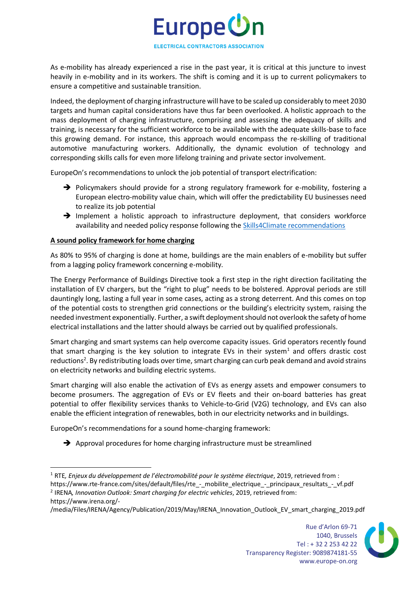

As e-mobility has already experienced a rise in the past year, it is critical at this juncture to invest heavily in e-mobility and in its workers. The shift is coming and it is up to current policymakers to ensure a competitive and sustainable transition.

Indeed, the deployment of charging infrastructure will have to be scaled up considerably to meet 2030 targets and human capital considerations have thus far been overlooked. A holistic approach to the mass deployment of charging infrastructure, comprising and assessing the adequacy of skills and training, is necessary for the sufficient workforce to be available with the adequate skills-base to face this growing demand. For instance, this approach would encompass the re-skilling of traditional automotive manufacturing workers. Additionally, the dynamic evolution of technology and corresponding skills calls for even more lifelong training and private sector involvement.

EuropeOn's recommendations to unlock the job potential of transport electrification:

- → Policymakers should provide for a strong regulatory framework for e-mobility, fostering a European electro-mobility value chain, which will offer the predictability EU businesses need to realize its job potential
- → Implement a holistic approach to infrastructure deployment, that considers workforce availability and needed policy response following the [Skills4Climate recommendations](https://europe-on.org/skills-4-climate/)

# **A sound policy framework for home charging**

As 80% to 95% of charging is done at home, buildings are the main enablers of e-mobility but suffer from a lagging policy framework concerning e-mobility.

The Energy Performance of Buildings Directive took a first step in the right direction facilitating the installation of EV chargers, but the "right to plug" needs to be bolstered. Approval periods are still dauntingly long, lasting a full year in some cases, acting as a strong deterrent. And this comes on top of the potential costs to strengthen grid connections or the building's electricity system, raising the needed investment exponentially. Further, a swift deployment should not overlook the safety of home electrical installations and the latter should always be carried out by qualified professionals.

Smart charging and smart systems can help overcome capacity issues. Grid operators recently found that smart charging is the key solution to integrate EVs in their system<sup>1</sup> and offers drastic cost reductions<sup>2</sup>. By redistributing loads over time, smart charging can curb peak demand and avoid strains on electricity networks and building electric systems.

Smart charging will also enable the activation of EVs as energy assets and empower consumers to become prosumers. The aggregation of EVs or EV fleets and their on-board batteries has great potential to offer flexibility services thanks to Vehicle-to-Grid (V2G) technology, and EVs can also enable the efficient integration of renewables, both in our electricity networks and in buildings.

EuropeOn's recommendations for a sound home-charging framework:

➔ Approval procedures for home charging infrastructure must be streamlined

/media/Files/IRENA/Agency/Publication/2019/May/IRENA\_Innovation\_Outlook\_EV\_smart\_charging\_2019.pdf



<sup>1</sup> RTE*, Enjeux du développement de l'électromobilité pour le système électrique*, 2019, retrieved from : https://www.rte-france.com/sites/default/files/rte\_-\_mobilite\_electrique\_-\_principaux\_resultats\_-\_vf.pdf 2 IRENA*, Innovation Outlook: Smart charging for electric vehicles*, 2019, retrieved from: https://www.irena.org/-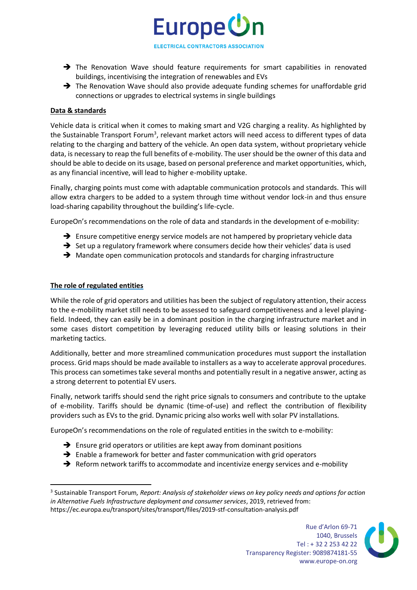

Europe Un

- → The Renovation Wave should feature requirements for smart capabilities in renovated buildings, incentivising the integration of renewables and EVs
- ➔ The Renovation Wave should also provide adequate funding schemes for unaffordable grid connections or upgrades to electrical systems in single buildings

### **Data & standards**

Vehicle data is critical when it comes to making smart and V2G charging a reality. As highlighted by the Sustainable Transport Forum<sup>3</sup>, relevant market actors will need access to different types of data relating to the charging and battery of the vehicle. An open data system, without proprietary vehicle data, is necessary to reap the full benefits of e-mobility. The user should be the owner of this data and should be able to decide on its usage, based on personal preference and market opportunities, which, as any financial incentive, will lead to higher e-mobility uptake.

Finally, charging points must come with adaptable communication protocols and standards. This will allow extra chargers to be added to a system through time without vendor lock-in and thus ensure load-sharing capability throughout the building's life-cycle.

EuropeOn's recommendations on the role of data and standards in the development of e-mobility:

- → Ensure competitive energy service models are not hampered by proprietary vehicle data
- ➔ Set up a regulatory framework where consumers decide how their vehicles' data is used
- ➔ Mandate open communication protocols and standards for charging infrastructure

#### **The role of regulated entities**

While the role of grid operators and utilities has been the subject of regulatory attention, their access to the e-mobility market still needs to be assessed to safeguard competitiveness and a level playingfield. Indeed, they can easily be in a dominant position in the charging infrastructure market and in some cases distort competition by leveraging reduced utility bills or leasing solutions in their marketing tactics.

Additionally, better and more streamlined communication procedures must support the installation process. Grid maps should be made available to installers as a way to accelerate approval procedures. This process can sometimes take several months and potentially result in a negative answer, acting as a strong deterrent to potential EV users.

Finally, network tariffs should send the right price signals to consumers and contribute to the uptake of e-mobility. Tariffs should be dynamic (time-of-use) and reflect the contribution of flexibility providers such as EVs to the grid. Dynamic pricing also works well with solar PV installations.

EuropeOn's recommendations on the role of regulated entities in the switch to e-mobility:

- ➔ Ensure grid operators or utilities are kept away from dominant positions
- $\rightarrow$  Enable a framework for better and faster communication with grid operators
- → Reform network tariffs to accommodate and incentivize energy services and e-mobility

<sup>3</sup> Sustainable Transport Forum*, Report: Analysis of stakeholder views on key policy needs and options for action in Alternative Fuels Infrastructure deployment and consumer services*, 2019, retrieved from: https://ec.europa.eu/transport/sites/transport/files/2019-stf-consultation-analysis.pdf